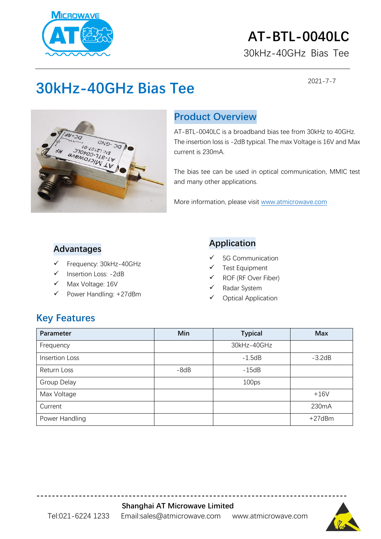

## **AT-BTL-0040LC**

30kHz-40GHz Bias Tee

2021-7-7

## **30kHz-40GHz Bias Tee**



#### **Product Overview**

AT-BTL-0040LC is a broadband bias tee from 30kHz to 40GHz. The insertion loss is -2dB typical. The max Voltage is 16V and Max current is 230mA.

The bias tee can be used in optical communication, MMIC test and many other applications.

More information, please visit [www.atmicrowave.com](http://www.atmicrowave.com/)

#### **Advantages**

- ✓ Frequency: 30kHz-40GHz
- ✓ Insertion Loss: -2dB
- Max Voltage: 16V
- Power Handling: +27dBm

#### **Application**

- ✓ 5G Communication
- Test Equipment
- ✓ ROF (RF Over Fiber)
- ✓ Radar System
- ✓ Optical Application

#### **Key Features**

| Parameter             | Min    | <b>Typical</b>    | <b>Max</b> |
|-----------------------|--------|-------------------|------------|
| Frequency             |        | 30kHz-40GHz       |            |
| <b>Insertion Loss</b> |        | $-1.5dB$          | $-3.2dB$   |
| Return Loss           | $-8dB$ | $-15dB$           |            |
| Group Delay           |        | 100 <sub>ps</sub> |            |
| Max Voltage           |        |                   | $+16V$     |
| Current               |        |                   | 230mA      |
| Power Handling        |        |                   | $+27d$ Bm  |

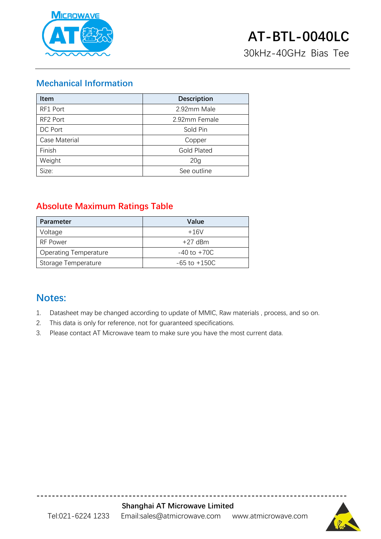

30kHz-40GHz Bias Tee

#### **Mechanical Information**

| <b>Item</b>   | <b>Description</b> |  |
|---------------|--------------------|--|
| RF1 Port      | 2.92mm Male        |  |
| RF2 Port      | 2.92mm Female      |  |
| DC Port       | Sold Pin           |  |
| Case Material | Copper             |  |
| Finish        | <b>Gold Plated</b> |  |
| Weight        | 20 <sub>g</sub>    |  |
| Size:         | See outline        |  |

#### **Absolute Maximum Ratings Table**

| Parameter                    | Value            |
|------------------------------|------------------|
| Voltage                      | $+16V$           |
| RF Power                     | $+27$ dBm        |
| <b>Operating Temperature</b> | $-40$ to $+70C$  |
| Storage Temperature          | $-65$ to $+150C$ |

#### **Notes:**

- 1. Datasheet may be changed according to update of MMIC, Raw materials , process, and so on.
- 2. This data is only for reference, not for guaranteed specifications.
- 3. Please contact AT Microwave team to make sure you have the most current data.



**---------------------------------------------------------------------------------**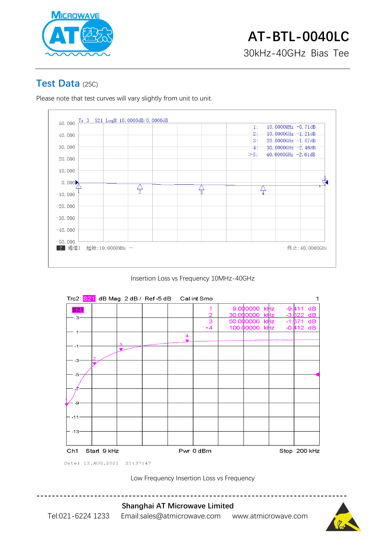

#### **Test Data** (25C)

Please note that test curves will vary slightly from unit to unit.



Insertion Loss vs Frequency 10MHz-40GHz



Low Frequency Insertion Loss vs Frequency



Tel:021-6224 1233 Email:sales@atmicrowave.com www.atmicrowave.com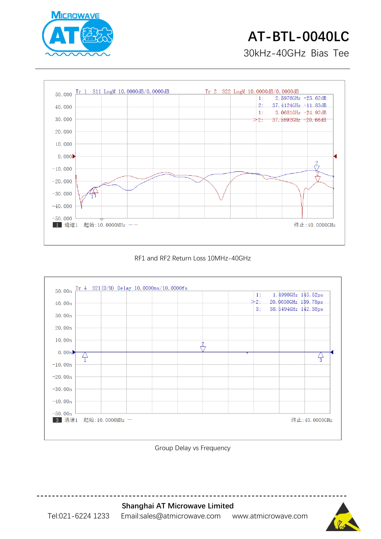

# **AT-BTL-0040LC**

30kHz-40GHz Bias Tee

![](_page_3_Figure_3.jpeg)

#### RF1 and RF2 Return Loss 10MHz-40GHz

![](_page_3_Figure_5.jpeg)

Group Delay vs Frequency

![](_page_3_Picture_7.jpeg)